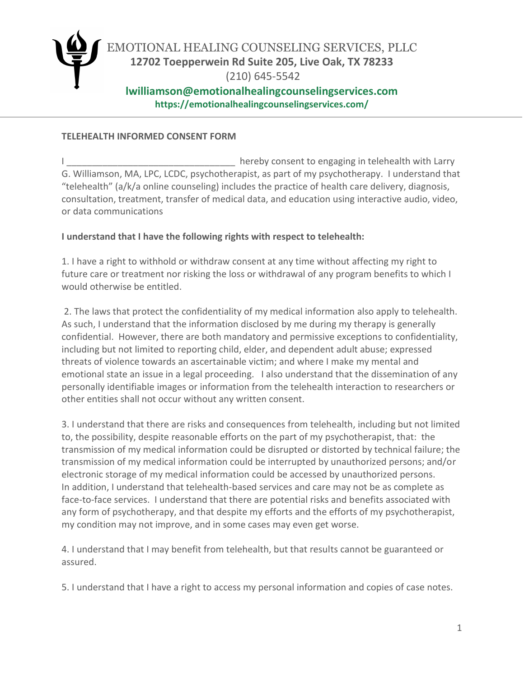

## **TELEHEALTH INFORMED CONSENT FORM**

hereby consent to engaging in telehealth with Larry G. Williamson, MA, LPC, LCDC, psychotherapist, as part of my psychotherapy. I understand that "telehealth" (a/k/a online counseling) includes the practice of health care delivery, diagnosis, consultation, treatment, transfer of medical data, and education using interactive audio, video, or data communications

## **I understand that I have the following rights with respect to telehealth:**

1. I have a right to withhold or withdraw consent at any time without affecting my right to future care or treatment nor risking the loss or withdrawal of any program benefits to which I would otherwise be entitled.

2. The laws that protect the confidentiality of my medical information also apply to telehealth. As such, I understand that the information disclosed by me during my therapy is generally confidential. However, there are both mandatory and permissive exceptions to confidentiality, including but not limited to reporting child, elder, and dependent adult abuse; expressed threats of violence towards an ascertainable victim; and where I make my mental and emotional state an issue in a legal proceeding. I also understand that the dissemination of any personally identifiable images or information from the telehealth interaction to researchers or other entities shall not occur without any written consent.

3. I understand that there are risks and consequences from telehealth, including but not limited to, the possibility, despite reasonable efforts on the part of my psychotherapist, that: the transmission of my medical information could be disrupted or distorted by technical failure; the transmission of my medical information could be interrupted by unauthorized persons; and/or electronic storage of my medical information could be accessed by unauthorized persons. In addition, I understand that telehealth-based services and care may not be as complete as face-to-face services. I understand that there are potential risks and benefits associated with any form of psychotherapy, and that despite my efforts and the efforts of my psychotherapist, my condition may not improve, and in some cases may even get worse.

4. I understand that I may benefit from telehealth, but that results cannot be guaranteed or assured.

5. I understand that I have a right to access my personal information and copies of case notes.